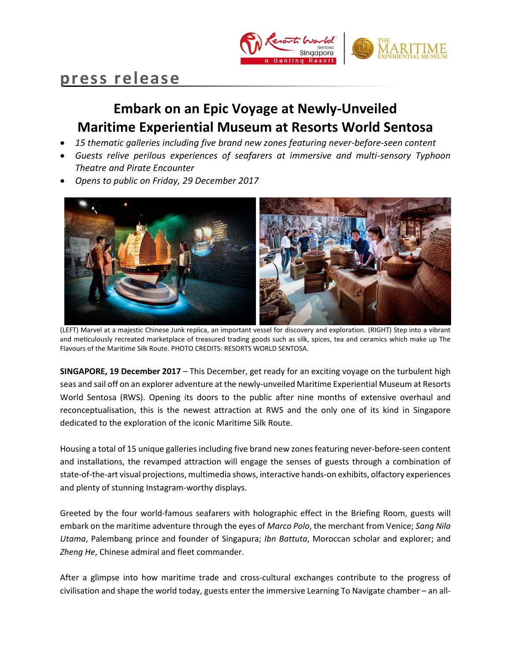

# **press release**

## **Embark on an Epic Voyage at Newly-Unveiled Maritime Experiential Museum at Resorts World Sentosa**

- *15 thematic galleries including five brand new zones featuring never-before-seen content*
- *Guests relive perilous experiences of seafarers at immersive and multi-sensory Typhoon Theatre and Pirate Encounter*
- *Opens to public on Friday, 29 December 2017*



(LEFT) Marvel at a majestic Chinese Junk replica, an important vessel for discovery and exploration. (RIGHT) Step into a vibrant and meticulously recreated marketplace of treasured trading goods such as silk, spices, tea and ceramics which make up The Flavours of the Maritime Silk Route. PHOTO CREDITS: RESORTS WORLD SENTOSA.

**SINGAPORE, 19 December 2017** – This December, get ready for an exciting voyage on the turbulent high seas and sail off on an explorer adventure at the newly-unveiled Maritime Experiential Museum at Resorts World Sentosa (RWS). Opening its doors to the public after nine months of extensive overhaul and reconceptualisation, this is the newest attraction at RWS and the only one of its kind in Singapore dedicated to the exploration of the iconic Maritime Silk Route.

Housing a total of 15 unique galleries including five brand new zones featuring never-before-seen content and installations, the revamped attraction will engage the senses of guests through a combination of state-of-the-art visual projections, multimedia shows, interactive hands-on exhibits, olfactory experiences and plenty of stunning Instagram-worthy displays.

Greeted by the four world-famous seafarers with holographic effect in the Briefing Room, guests will embark on the maritime adventure through the eyes of *Marco Polo*, the merchant from Venice; *Sang Nila Utama*, Palembang prince and founder of Singapura; *Ibn Battuta*, Moroccan scholar and explorer; and *Zheng He*, Chinese admiral and fleet commander.

After a glimpse into how maritime trade and cross-cultural exchanges contribute to the progress of civilisation and shape the world today, guests enter the immersive Learning To Navigate chamber – an all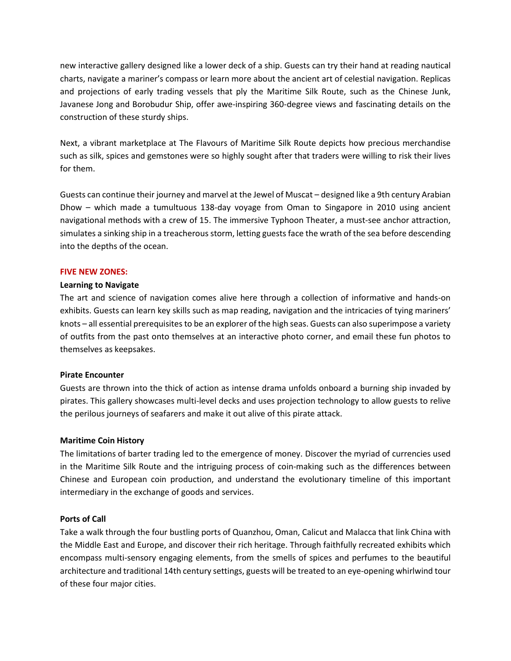new interactive gallery designed like a lower deck of a ship. Guests can try their hand at reading nautical charts, navigate a mariner's compass or learn more about the ancient art of celestial navigation. Replicas and projections of early trading vessels that ply the Maritime Silk Route, such as the Chinese Junk, Javanese Jong and Borobudur Ship, offer awe-inspiring 360-degree views and fascinating details on the construction of these sturdy ships.

Next, a vibrant marketplace at The Flavours of Maritime Silk Route depicts how precious merchandise such as silk, spices and gemstones were so highly sought after that traders were willing to risk their lives for them.

Guests can continue their journey and marvel at the Jewel of Muscat – designed like a 9th century Arabian Dhow – which made a tumultuous 138-day voyage from Oman to Singapore in 2010 using ancient navigational methods with a crew of 15. The immersive Typhoon Theater, a must-see anchor attraction, simulates a sinking ship in a treacherous storm, letting guests face the wrath of the sea before descending into the depths of the ocean.

## **FIVE NEW ZONES:**

## **Learning to Navigate**

The art and science of navigation comes alive here through a collection of informative and hands-on exhibits. Guests can learn key skills such as map reading, navigation and the intricacies of tying mariners' knots – all essential prerequisites to be an explorer of the high seas. Guests can also superimpose a variety of outfits from the past onto themselves at an interactive photo corner, and email these fun photos to themselves as keepsakes.

## **Pirate Encounter**

Guests are thrown into the thick of action as intense drama unfolds onboard a burning ship invaded by pirates. This gallery showcases multi-level decks and uses projection technology to allow guests to relive the perilous journeys of seafarers and make it out alive of this pirate attack.

## **Maritime Coin History**

The limitations of barter trading led to the emergence of money. Discover the myriad of currencies used in the Maritime Silk Route and the intriguing process of coin-making such as the differences between Chinese and European coin production, and understand the evolutionary timeline of this important intermediary in the exchange of goods and services.

## **Ports of Call**

Take a walk through the four bustling ports of Quanzhou, Oman, Calicut and Malacca that link China with the Middle East and Europe, and discover their rich heritage. Through faithfully recreated exhibits which encompass multi-sensory engaging elements, from the smells of spices and perfumes to the beautiful architecture and traditional 14th century settings, guests will be treated to an eye-opening whirlwind tour of these four major cities.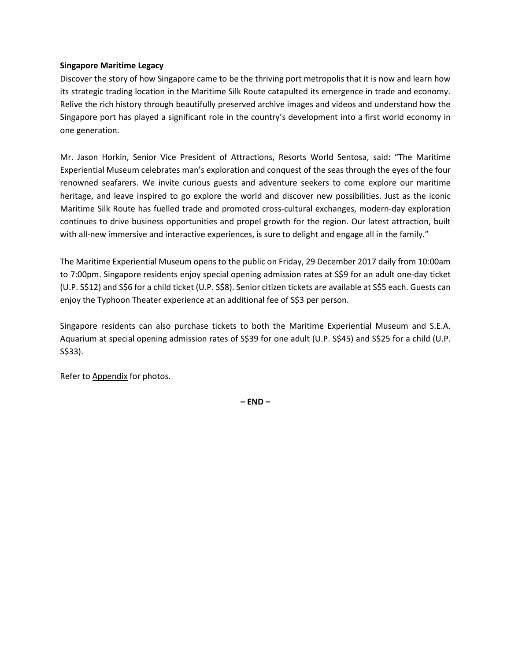## **Singapore Maritime Legacy**

Discover the story of how Singapore came to be the thriving port metropolis that it is now and learn how its strategic trading location in the Maritime Silk Route catapulted its emergence in trade and economy. Relive the rich history through beautifully preserved archive images and videos and understand how the Singapore port has played a significant role in the country's development into a first world economy in one generation.

Mr. Jason Horkin, Senior Vice President of Attractions, Resorts World Sentosa, said: "The Maritime Experiential Museum celebrates man's exploration and conquest of the seas through the eyes of the four renowned seafarers. We invite curious guests and adventure seekers to come explore our maritime heritage, and leave inspired to go explore the world and discover new possibilities. Just as the iconic Maritime Silk Route has fuelled trade and promoted cross-cultural exchanges, modern-day exploration continues to drive business opportunities and propel growth for the region. Our latest attraction, built with all-new immersive and interactive experiences, is sure to delight and engage all in the family."

The Maritime Experiential Museum opens to the public on Friday, 29 December 2017 daily from 10:00am to 7:00pm. Singapore residents enjoy special opening admission rates at S\$9 for an adult one-day ticket (U.P. S\$12) and S\$6 for a child ticket (U.P. S\$8). Senior citizen tickets are available at S\$5 each. Guests can enjoy the Typhoon Theater experience at an additional fee of S\$3 per person.

Singapore residents can also purchase tickets to both the Maritime Experiential Museum and S.E.A. Aquarium at special opening admission rates of S\$39 for one adult (U.P. S\$45) and S\$25 for a child (U.P. S\$33).

Refer to Appendix for photos.

**– END –**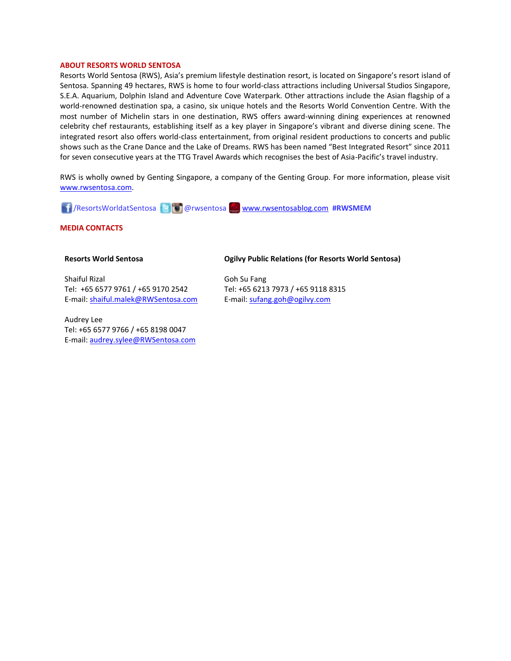#### **ABOUT RESORTS WORLD SENTOSA**

Resorts World Sentosa (RWS), Asia's premium lifestyle destination resort, is located on Singapore's resort island of Sentosa. Spanning 49 hectares, RWS is home to four world-class attractions including Universal Studios Singapore, S.E.A. Aquarium, Dolphin Island and Adventure Cove Waterpark. Other attractions include the Asian flagship of a world-renowned destination spa, a casino, six unique hotels and the Resorts World Convention Centre. With the most number of Michelin stars in one destination, RWS offers award-winning dining experiences at renowned celebrity chef restaurants, establishing itself as a key player in Singapore's vibrant and diverse dining scene. The integrated resort also offers world-class entertainment, from original resident productions to concerts and public shows such as the Crane Dance and the Lake of Dreams. RWS has been named "Best Integrated Resort" since 2011 for seven consecutive years at the TTG Travel Awards which recognises the best of Asia-Pacific's travel industry.

RWS is wholly owned by Genting Singapore, a company of the Genting Group. For more information, please visit [www.rwsentosa.com.](http://www.rwsentosa.com/)

/ResortsWorldatSentosa @rwsentosa [www.rwsentosablog.com](http://www.rwsentosablog.com/) **#RWSMEM**

**MEDIA CONTACTS**

#### **Resorts World Sentosa**

Shaiful Rizal Tel: +65 6577 9761 / +65 9170 2542 E-mail[: shaiful.malek@RWSentosa.com](mailto:loolin.chua@RWSentosa.com)

Audrey Lee Tel: +65 6577 9766 / +65 8198 0047 E-mail[: audrey.sylee@RWSentosa.com](mailto:audrey.sylee@RWSentosa.com) **Ogilvy Public Relations (for Resorts World Sentosa)**

Goh Su Fang Tel: +65 6213 7973 / +65 9118 8315 E-mail: [sufang.goh@ogilvy.com](mailto:sufang.goh@ogilvy.com)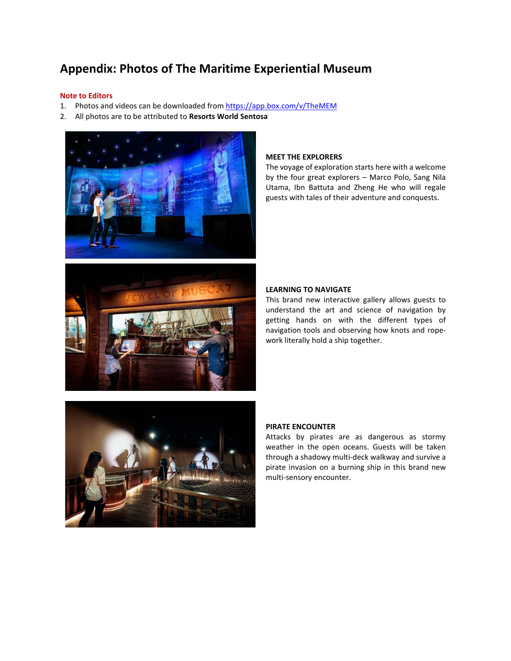## **Appendix: Photos of The Maritime Experiential Museum**

#### **Note to Editors**

- 1. Photos and videos can be downloaded from <https://app.box.com/v/TheMEM>
- 2. All photos are to be attributed to **Resorts World Sentosa**





#### **MEET THE EXPLORERS**

The voyage of exploration starts here with a welcome by the four great explorers – Marco Polo, Sang Nila Utama, Ibn Battuta and Zheng He who will regale guests with tales of their adventure and conquests.

### **LEARNING TO NAVIGATE**

This brand new interactive gallery allows guests to understand the art and science of navigation by getting hands on with the different types of navigation tools and observing how knots and ropework literally hold a ship together.



## **PIRATE ENCOUNTER**

Attacks by pirates are as dangerous as stormy weather in the open oceans. Guests will be taken through a shadowy multi-deck walkway and survive a pirate invasion on a burning ship in this brand new multi-sensory encounter.